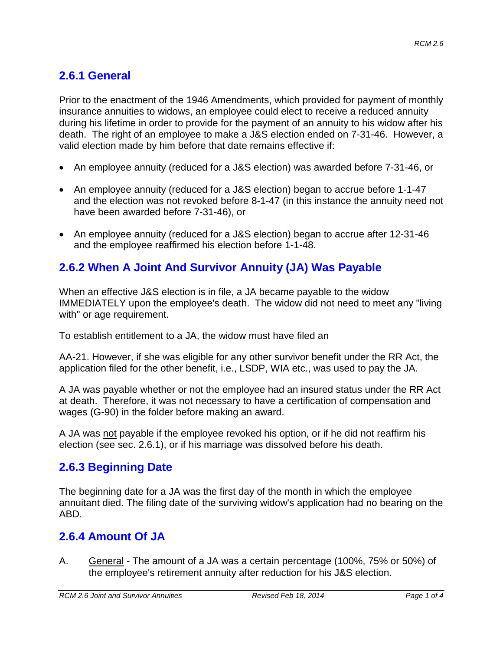# **2.6.1 General**

Prior to the enactment of the 1946 Amendments, which provided for payment of monthly insurance annuities to widows, an employee could elect to receive a reduced annuity during his lifetime in order to provide for the payment of an annuity to his widow after his death. The right of an employee to make a J&S election ended on 7-31-46. However, a valid election made by him before that date remains effective if:

- An employee annuity (reduced for a J&S election) was awarded before 7-31-46, or
- An employee annuity (reduced for a J&S election) began to accrue before 1-1-47 and the election was not revoked before 8-1-47 (in this instance the annuity need not have been awarded before 7-31-46), or
- An employee annuity (reduced for a J&S election) began to accrue after 12-31-46 and the employee reaffirmed his election before 1-1-48.

# **2.6.2 When A Joint And Survivor Annuity (JA) Was Payable**

When an effective J&S election is in file, a JA became payable to the widow IMMEDIATELY upon the employee's death. The widow did not need to meet any "living with" or age requirement.

To establish entitlement to a JA, the widow must have filed an

AA-21. However, if she was eligible for any other survivor benefit under the RR Act, the application filed for the other benefit, i.e., LSDP, WIA etc., was used to pay the JA.

A JA was payable whether or not the employee had an insured status under the RR Act at death. Therefore, it was not necessary to have a certification of compensation and wages (G-90) in the folder before making an award.

A JA was not payable if the employee revoked his option, or if he did not reaffirm his election (see sec. 2.6.1), or if his marriage was dissolved before his death.

### **2.6.3 Beginning Date**

The beginning date for a JA was the first day of the month in which the employee annuitant died. The filing date of the surviving widow's application had no bearing on the ABD.

### **2.6.4 Amount Of JA**

A. General - The amount of a JA was a certain percentage (100%, 75% or 50%) of the employee's retirement annuity after reduction for his J&S election.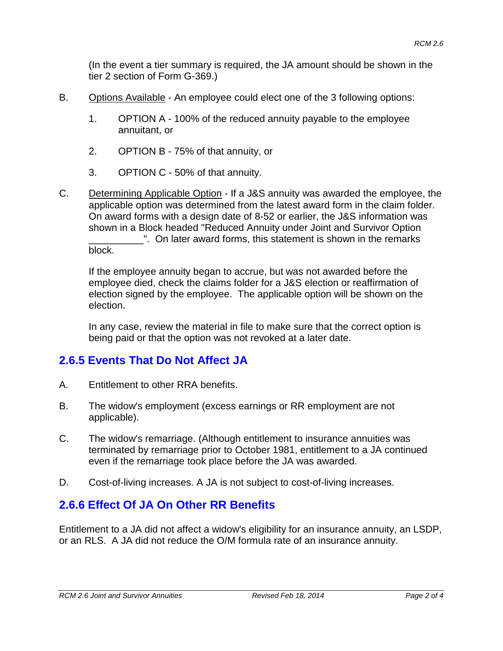(In the event a tier summary is required, the JA amount should be shown in the tier 2 section of Form G-369.)

- B. Options Available An employee could elect one of the 3 following options:
	- 1. OPTION A 100% of the reduced annuity payable to the employee annuitant, or
	- 2. OPTION B 75% of that annuity, or
	- 3. OPTION C 50% of that annuity.
- C. Determining Applicable Option If a J&S annuity was awarded the employee, the applicable option was determined from the latest award form in the claim folder. On award forms with a design date of 8-52 or earlier, the J&S information was shown in a Block headed "Reduced Annuity under Joint and Survivor Option \_\_\_\_\_\_\_\_\_\_". On later award forms, this statement is shown in the remarks block.

If the employee annuity began to accrue, but was not awarded before the employee died, check the claims folder for a J&S election or reaffirmation of election signed by the employee. The applicable option will be shown on the election.

In any case, review the material in file to make sure that the correct option is being paid or that the option was not revoked at a later date.

#### **2.6.5 Events That Do Not Affect JA**

- A. Entitlement to other RRA benefits.
- B. The widow's employment (excess earnings or RR employment are not applicable).
- C. The widow's remarriage. (Although entitlement to insurance annuities was terminated by remarriage prior to October 1981, entitlement to a JA continued even if the remarriage took place before the JA was awarded.
- D. Cost-of-living increases. A JA is not subject to cost-of-living increases.

### **2.6.6 Effect Of JA On Other RR Benefits**

Entitlement to a JA did not affect a widow's eligibility for an insurance annuity, an LSDP, or an RLS. A JA did not reduce the O/M formula rate of an insurance annuity.